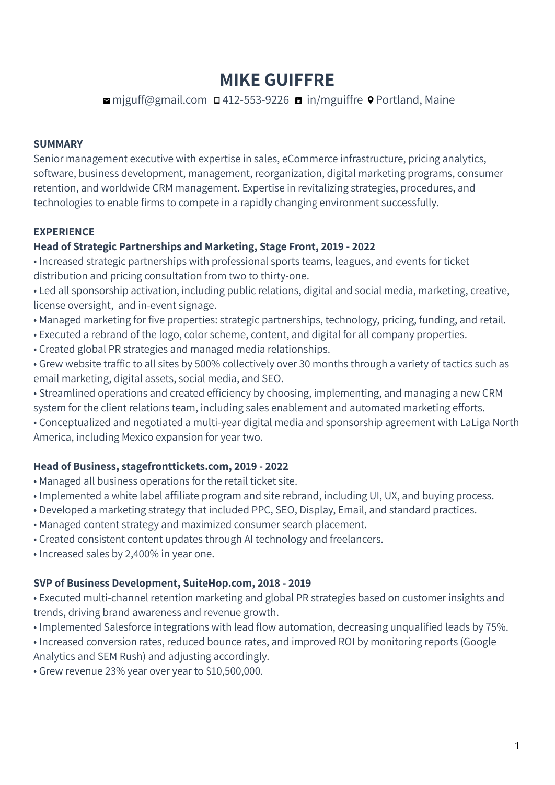# **MIKE GUIFFRE**

## **¤** mjguff@gmail.com **□** 412-553-9226 **m** in/mguiffre **·** Portland, Maine

### **SUMMARY**

Senior management executive with expertise in sales, eCommerce infrastructure, pricing analytics, software, business development, management, reorganization, digital marketing programs, consumer retention, and worldwide CRM management. Expertise in revitalizing strategies, procedures, and technologies to enable firms to compete in a rapidly changing environment successfully.

### **EXPERIENCE**

### **Head of Strategic Partnerships and Marketing, Stage Front, 2019 - 2022**

• Increased strategic partnerships with professional sports teams, leagues, and events for ticket distribution and pricing consultation from two to thirty-one.

• Led all sponsorship activation, including public relations, digital and social media, marketing, creative, license oversight, and in-event signage.

- Managed marketing for five properties: strategic partnerships, technology, pricing, funding, and retail.
- Executed a rebrand of the logo, color scheme, content, and digital for all company properties.
- Created global PR strategies and managed media relationships.
- Grew website traffic to all sites by 500% collectively over 30 months through a variety of tactics such as email marketing, digital assets, social media, and SEO.
- Streamlined operations and created efficiency by choosing, implementing, and managing a new CRM system for the client relations team, including sales enablement and automated marketing efforts.

• Conceptualized and negotiated a multi-year digital media and sponsorship agreement with LaLiga North America, including Mexico expansion for year two.

#### **Head of Business, stagefronttickets.com, 2019 - 2022**

- Managed all business operations for the retail ticket site.
- Implemented a white label affiliate program and site rebrand, including UI, UX, and buying process.
- Developed a marketing strategy that included PPC, SEO, Display, Email, and standard practices.
- Managed content strategy and maximized consumer search placement.
- Created consistent content updates through AI technology and freelancers.
- Increased sales by 2,400% in year one.

#### **SVP of Business Development, SuiteHop.com, 2018 - 2019**

• Executed multi-channel retention marketing and global PR strategies based on customer insights and trends, driving brand awareness and revenue growth.

• Implemented Salesforce integrations with lead flow automation, decreasing unqualified leads by 75%.

• Increased conversion rates, reduced bounce rates, and improved ROI by monitoring reports (Google Analytics and SEM Rush) and adjusting accordingly.

• Grew revenue 23% year over year to \$10,500,000.